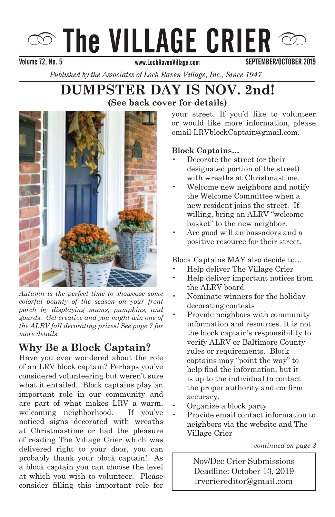# $\infty$  The VILLAGE CRIER  $\infty$

Volume 72, No. 5 September 2013 September 2013 November 2013

SEPTEMBER/OCTOBER 2019

*Published by the Associates of Loch Raven Village, Inc., Since 1947* 

# **DUMPSTER DAY IS NOV. 2nd!**<br>
(See back cover for details) **(See back cover for details)**



*colorful bounty of the season on your front* porch by displaying mums, pumpkins, and *gourds. Get creative and you might win one of the ALRV fall decorating prizes! See page 7 for* more details. *Autumn is the perfect time to showcase some* 

# **Why Be a Block Captain?**

Have you ever wondered about the role mave you ever wondered also at the role what it entailed. Block captains play an important role in our community and measure for in our commancy and are part of what makes LRV a warm, welcoming neighborhood. If you've noticed signs decorated with wreaths. at Christmastime or had the pleasure of reading The Village Crier which was delivered right to your door, you can probably thank your block captain! As a block captain you can choose the level at which you wish to volunteer. Please consider filling this important role for considered volunteering but weren't sure

email LRVblockCaptain@gmail.com. your street. If you'd like to volunteer or would like more information, please

## Block Captains...

- Decorate the street (or their designated portion of the street) with wreaths at Christmastime.
- Welcome new neighbors and notify new resident joins the street. If willing, bring an ALRV "welcome basket" to the new neighbor. the Welcome Committee when a
- Are good will ambassadors and a positive resource for their street. for our children and our community. We

Block Captains MAY also decide to...

- Help deliver The Village Crier
- Help deliver important notices from the ALRV board
- Nominate winners for the holiday decorating contests
- Provide neighbors with community information and resources. It is not the block captain's responsibility to captains may point the way to<br>help find the information, but it is up to the individual to contact the proper authority and confirm accuracy. verny ALK v or Bahmore County<br>rules or requirements. Block verify ALRV or Baltimore County captains may "point the way" to
- Organize a block party
- Provide email contact information to neighbors via the website and The Babcock Church and the Village Crier $\frac{M}{L}$

*For Santa's Ride Information — continued on page 3*

lrvcriereditor@gmail.com  $\overline{\phantom{a}}$ Nov/Dec Crier Submissions Deadline: October 13, 2019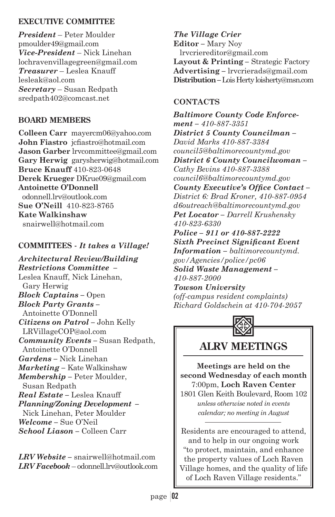## **EXECUTIVE COMMITTEE**

*President* – Peter Moulder pmoulder49@gmail.com *Vice-President* – Nick Linehan lochravenvillagegreen@gmail.com *Treasurer* – Leslea Knauff lesleak@aol.com *Secretary* – Susan Redpath sredpath402@comcast.net

## **BOARD MEMBERS**

**Colleen Carr** mayercm06@yahoo.com **John Fiastro** icfiastro@hotmail.com **Jason Garber** lrvcommittee@gmail.com **Gary Herwig** garysherwig@hotmail.com **Bruce Knauff** 410-823-0648 **Derek Krueger** DKrue09@gmail.com **Antoinette O'Donnell** odonnell.lrv@outlook.com **Sue O'Neill** 410-823-8765 **Kate Walkinshaw** snairwell@hotmail.com

## **COMMITTEES -** *It takes a Village!*

*Architectural Review/Building Restrictions Committee –* Leslea Knauff, Nick Linehan, Gary Herwig *Block Captains –* Open *Block Party Grants –* Antoinette O'Donnell *Citizens on Patrol –* John Kelly LRVillageCOP@aol.com *Community Events –* Susan Redpath, Antoinette O'Donnell *Gardens –* Nick Linehan *Marketing –* Kate Walkinshaw *Membership –* Peter Moulder, Susan Redpath *Real Estate –* Leslea Knauff *Planning/Zoning Development –* Nick Linehan, Peter Moulder *Welcome –* Sue O'Neil *School Liason –* Colleen Carr

*LRV Website –* snairwell@hotmail.com *LRV Facebook* – odonnell.lrv@outlook.com

*The Village Crier*  **Editor** *–* Mary Noy lrvcriereditor@gmail.com **Layout & Printing** *–* Strategic Factory **Advertising** *–* lrvcrierads@gmail.com **Distribution** *–* Lois Herty loisherty@msn.com

## **CONTACTS**

*Baltimore County Code Enforcement – 410-887-3351 District 5 County Councilman – David Marks 410-887-3384 council5@baltimorecountymd.gov District 6 County Councilwoman – Cathy Bevins 410-887-3388 council6@baltimorecountymd.gov*  County Executive's Office Contact-*District 6: Brad Kroner, 410-887-0954 d6outreach@baltimorecountymd.gov Pet Locator – Darrell Krushensky 410-823-6330 Police – 911 or 410-887-2222*   $Sixth$  *Precinct Significant Event Information – baltimorecountymd. gov/Agencies/police/pc06 Solid Waste Management – 410-887-2000 Towson University (off-campus resident complaints) Richard Goldschein at 410-704-2057*



# **ALRV MEETINGS**

**Meetings are held on the second Wednesday of each month** 7:00pm, **Loch Raven Center** 1801 Glen Keith Boulevard, Room 102

*unless otherwise noted in events calendar; no meeting in August*

Residents are encouraged to attend, and to help in our ongoing work "to protect, maintain, and enhance the property values of Loch Raven Village homes, and the quality of life of Loch Raven Village residents."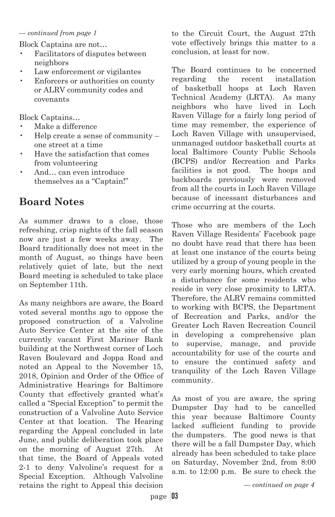#### *— continued from page 1*

Block Captains are not…

- Facilitators of disputes between neighbors
- Law enforcement or vigilantes
- Enforcers or authorities on county or ALRV community codes and covenants

Block Captains…

- Make a difference
- Help create a sense of community one street at a time
- Have the satisfaction that comes from volunteering
- And… can even introduce themselves as a "Captain!"

# **Board Notes**

As summer draws to a close, those refreshing, crisp nights of the fall season now are just a few weeks away. The Board traditionally does not meet in the month of August, so things have been relatively quiet of late, but the next Board meeting is scheduled to take place on September 11th.

As many neighbors are aware, the Board voted several months ago to oppose the proposed construction of a Valvoline Auto Service Center at the site of the currently vacant First Mariner Bank building at the Northwest corner of Loch Raven Boulevard and Joppa Road and noted an Appeal to the November 15, 2018, Opinion and Order of the Office of Administrative Hearings for Baltimore County that effectively granted what's called a "Special Exception" to permit the construction of a Valvoline Auto Service Center at that location. The Hearing regarding the Appeal concluded in late June, and public deliberation took place on the morning of August 27th. At that time, the Board of Appeals voted 2-1 to deny Valvoline's request for a Special Exception. Although Valvoline retains the right to Appeal this decision

to the Circuit Court, the August 27th vote effectively brings this matter to a conclusion, at least for now.

The Board continues to be concerned regarding the recent installation of basketball hoops at Loch Raven Technical Academy (LRTA). As many neighbors who have lived in Loch Raven Village for a fairly long period of time may remember, the experience of Loch Raven Village with unsupervised, unmanaged outdoor basketball courts at local Baltimore County Public Schools (BCPS) and/or Recreation and Parks facilities is not good. The hoops and backboards previously were removed from all the courts in Loch Raven Village because of incessant disturbances and crime occurring at the courts.

Those who are members of the Loch Raven Village Residents' Facebook page no doubt have read that there has been at least one instance of the courts being utilized by a group of young people in the very early morning hours, which created a disturbance for some residents who reside in very close proximity to LRTA. Therefore, the ALRV remains committed to working with BCPS, the Department of Recreation and Parks, and/or the Greater Loch Raven Recreation Council in developing a comprehensive plan to supervise, manage, and provide accountability for use of the courts and to ensure the continued safety and tranquility of the Loch Raven Village community.

As most of you are aware, the spring Dumpster Day had to be cancelled this year because Baltimore County lacked sufficient funding to provide the dumpsters. The good news is that there will be a fall Dumpster Day, which already has been scheduled to take place on Saturday, November 2nd, from 8:00 a.m. to 12:00 p.m. Be sure to check the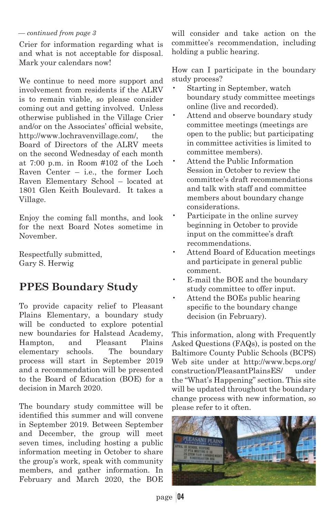#### *— continued from page 3*

Crier for information regarding what is and what is not acceptable for disposal. Mark your calendars now!

We continue to need more support and involvement from residents if the ALRV is to remain viable, so please consider coming out and getting involved. Unless otherwise published in the Village Crier and/or on the Associates' official website. http://www.lochravenvillage.com/, the Board of Directors of the ALRV meets on the second Wednesday of each month at 7:00 p.m. in Room #102 of the Loch Raven Center – i.e., the former Loch Raven Elementary School – located at 1801 Glen Keith Boulevard. It takes a Village.

Enjoy the coming fall months, and look for the next Board Notes sometime in November.

Respectfully submitted, Gary S. Herwig

# **PPES Boundary Study**

To provide capacity relief to Pleasant Plains Elementary, a boundary study will be conducted to explore potential new boundaries for Halstead Academy, Hampton, and Pleasant Plains elementary schools. The boundary process will start in September 2019 and a recommendation will be presented to the Board of Education (BOE) for a decision in March 2020.

The boundary study committee will be identified this summer and will convene in September 2019. Between September and December, the group will meet seven times, including hosting a public information meeting in October to share the group's work, speak with community members, and gather information. In February and March 2020, the BOE

will consider and take action on the committee's recommendation, including holding a public hearing.

How can I participate in the boundary study process?

- Starting in September, watch boundary study committee meetings online (live and recorded).
- Attend and observe boundary study committee meetings (meetings are open to the public; but participating in committee activities is limited to committee members).
- Attend the Public Information Session in October to review the committee's draft recommendations and talk with staff and committee members about boundary change considerations.
- Participate in the online survey beginning in October to provide input on the committee's draft recommendations.
- Attend Board of Education meetings and participate in general public comment.
- E-mail the BOE and the boundary study committee to offer input.
- Attend the BOEs public hearing specific to the boundary change decision (in February).

This information, along with Frequently Asked Questions (FAQs), is posted on the Baltimore County Public Schools (BCPS) Web site under at http://www.bcps.org/ construction/PleasantPlainsES/ under the "What's Happening" section. This site will be updated throughout the boundary change process with new information, so please refer to it often.

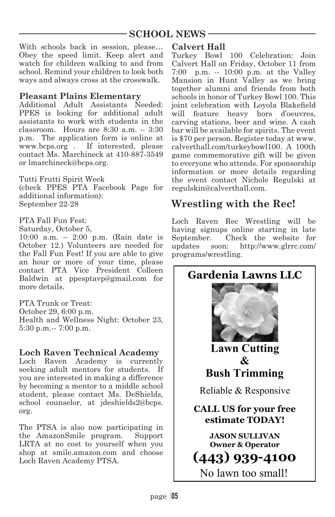## **SCHOOL NEWS**

With schools back in session, please… Obey the speed limit. Keep alert and watch for children walking to and from school. Remind your children to look both ways and always cross at the crosswalk.

### **Pleasant Plains Elementary**

Additional Adult Assistants Needed: PPES is looking for additional adult assistants to work with students in the classroom. Hours are  $8:30$  a.m.  $-3:30$ p.m. The application form is online at www.bcps.org . If interested, please contact Ms. Marchineck at 410-887-3549 or lmarchineck@bcps.org.

Tutti Frutti Spirit Week (check PPES PTA Facebook Page for additional information): September 22-28

#### PTA Fall Fun Fest:

Saturday, October 5,

10:00 a.m. – 2:00 p.m. (Rain date is October 12.) Volunteers are needed for the Fall Fun Fest! If you are able to give an hour or more of your time, please contact PTA Vice President Colleen Baldwin at ppesptavp@gmail.com for more details.

PTA Trunk or Treat: October 29, 6:00 p.m. Health and Wellness Night: October 23, 5:30 p.m.-- 7:00 p.m.

### **Loch Raven Technical Academy**

Loch Raven Academy is currently seeking adult mentors for students. If you are interested in making a difference by becoming a mentor to a middle school student, please contact Ms. DeShields, school counselor, at jdeshields2@bcps. org.

The PTSA is also now participating in the AmazonSmile program. Support LRTA at no cost to yourself when you shop at smile.amazon.com and choose Loch Raven Academy PTSA.

#### **Calvert Hall**

Turkey Bowl 100 Celebration: Join Calvert Hall on Friday, October 11 from 7:00 p.m. -- 10:00 p.m. at the Valley Mansion in Hunt Valley as we bring together alumni and friends from both schools in honor of Turkey Bowl 100. This joint celebration with Loyola Blakefield will feature heavy hors d'oeuvres, carving stations, beer and wine. A cash bar will be available for spirits. The event is \$70 per person. Register today at www. calverthall.com/turkeybowl100. A 100th game commemorative gift will be given to everyone who attends. For sponsorship information or more details regarding the event contact Nichole Regulski at regulskin@calverthall.com.

## **Wrestling with the Rec!**

Loch Raven Rec Wrestling will be having signups online starting in late<br>September. Check the website for Check the website for updates soon: http://www.glrrc.com/ programs/wrestling.

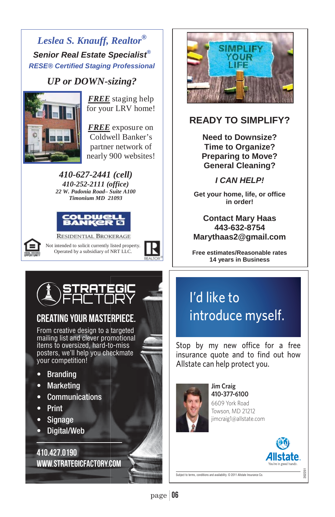## *Leslea S. Knauff, Realtor® Senior Real Estate Specialist® RESE® Certified Staging Professional*

# *UP or DOWN-sizing?*<br>FREE staging help



for your LRV home!

nearly 900 websites! *FREE* exposure on Coldwell Banker's partner network of

*410-627-2441 (cell) 410-252-2111 (office) 22 W. Padonia Road– Suite A100 Timonium MD 21093* 





**RESIDENTIAL BROKERAGE** Not intended to solicit currently listed property. Operated by a subsidiary of NRT LLC.





# CREATING YOUR MASTERPIECE.

From creative design to a targeted mailing list and clever promotional items to oversized, hard-to-miss posters, we'll help you checkmate your competition!

- Branding
- **Marketing**
- Communications
- Print
- Signage
- Digital/Web

410.427.0190 www.strategicfactory.com



# **READY TO SIMPLIFY?**

**Need to Downsize? Time to Organize? Preparing to Move? General Cleaning?** 

## *I CAN HELP!*

**Get your home, life, or office in order!** 

¤ ¤ **Marythaas2@gmail.com Contact Mary Haas 443-632-8754** 

**Free estimates/Reasonable rates 14 years in Business**

# I'd like to introduce myself.

Stop by my new office for a free insurance quote and to find out how Allstate can help protect you.



**Jim Craig** 410-377-6100 6609 York Road Towson, MD 21212 jimcraig1@allstate.com



202251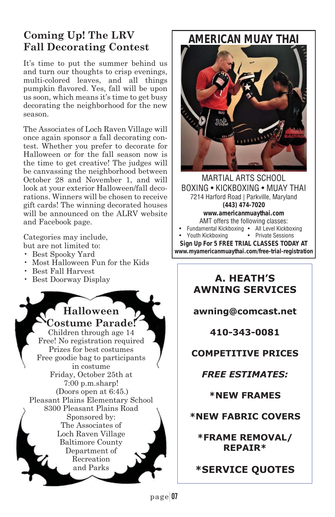# **Coming Up! The LRV Fall Decorating Contest**

It's time to put the summer behind us and turn our thoughts to crisp evenings, multi-colored leaves, and all things pumpkin flavored. Yes, fall will be upon us soon, which means it's time to get busy decorating the neighborhood for the new season.

The Associates of Loch Raven Village will once again sponsor a fall decorating contest. Whether you prefer to decorate for Halloween or for the fall season now is the time to get creative! The judges will be canvassing the neighborhood between October 28 and November 1, and will look at your exterior Halloween/fall decorations. Winners will be chosen to receive gift cards! The winning decorated houses will be announced on the ALRV website and Facebook page.

Categories may include,

- but are not limited to:
- Best Spooky Yard
- Most Halloween Fun for the Kids
- Best Fall Harvest
- Best Doorway Display

**Halloween**

**Costume Parade!** Children through age 14 Free! No registration required Prizes for best costumes Free goodie bag to participants in costume Friday, October 25th at 7:00 p.m.sharp! (Doors open at 6:45.) Pleasant Plains Elementary School 8300 Pleasant Plains Road Sponsored by: The Associates of Loch Raven Village Baltimore County Department of Recreation and Parks

*AMERICAN MUAY THAI*



MARTIAL ARTS SCHOOL BOXING • KICKBOXING • MUAY THAI 7214 Harford Road | Parkville, Maryland *(443) 474-7020 www.americanmuaythai.com* AMT offers the following classes: • Fundamental Kickboxing • All Level Kickboxing • Youth Kickboxing *Sign Up For 5 FREE TRIAL CLASSES TODAY AT www.myamericanmuaythai.com/free-trial-registration*

## **A. HEATH'S AWNING SERVICES**

**awning@comcast.net** 

**410-343-0081** 

## **COMPETITIVE PRICES**

*FREE ESTIMATES:* 

**\*NEW FRAMES** 

**\*NEW FABRIC COVERS** 

**\*FRAME REMOVAL/ REPAIR\*** 

**\*SERVICE QUOTES**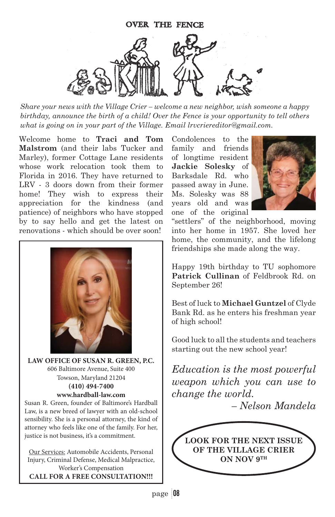

*Share your news with the Village Crier – welcome a new neighbor, wish someone a happy birthday, announce the birth of a child! Over the Fence is your opportunity to tell others what is going on in your part of the Village. Email lrvcriereditor@gmail.com.*

Welcome home to **Traci and Tom Malstrom** (and their labs Tucker and Marley), former Cottage Lane residents whose work relocation took them to Florida in 2016. They have returned to LRV - 3 doors down from their former home! They wish to express their appreciation for the kindness (and patience) of neighbors who have stopped by to say hello and get the latest on renovations - which should be over soon!



**LAW OFFICE OF SUSAN R. GREEN, P.C.** 606 Baltimore Avenue, Suite 400 Towson, Maryland 21204 **(410) 494-7400 www.hardball-law.com**

Susan R. Green, founder of Baltimore's Hardball Law, is a new breed of lawyer with an old-school sensibility. She is a personal attorney, the kind of attorney who feels like one of the family. For her, justice is not business, it's a commitment.

Our Services: Automobile Accidents, Personal Injury, Criminal Defense, Medical Malpractice, Worker's Compensation **CALL FOR A FREE CONSULTATION!!!**

Condolences to the family and friends of longtime resident **Jackie Solesky** of Barksdale Rd. who passed away in June. Ms. Solesky was 88 years old and was one of the original



"settlers" of the neighborhood, moving into her home in 1957. She loved her home, the community, and the lifelong friendships she made along the way.

Happy 19th birthday to TU sophomore **Patrick Cullinan** of Feldbrook Rd. on September 26!

Best of luck to **Michael Guntzel** of Clyde Bank Rd. as he enters his freshman year of high school!

Good luck to all the students and teachers starting out the new school year!

*Education is the most powerful weapon which you can use to change the world.* 

*– Nelson Mandela*

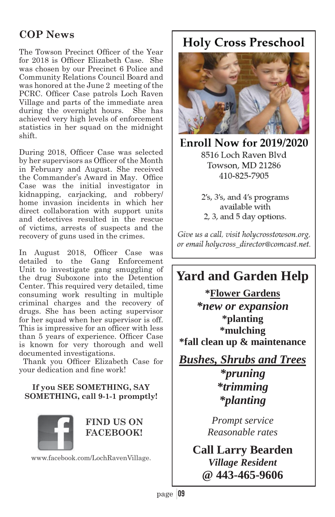# **COP News**

The Towson Precinct Officer of the Year for 2018 is Officer Elizabeth Case. She was chosen by our Precinct 6 Police and Community Relations Council Board and was honored at the June 2 meeting of the PCRC. Officer Case patrols Loch Raven Village and parts of the immediate area during the overnight hours. She has achieved very high levels of enforcement statistics in her squad on the midnight shift.

During 2018, Officer Case was selected by her supervisors as Officer of the Month in February and August. She received the Commander's Award in May. Office Case was the initial investigator in kidnapping, carjacking, and robbery/ home invasion incidents in which her direct collaboration with support units and detectives resulted in the rescue of victims, arrests of suspects and the recovery of guns used in the crimes.

In August 2018, Officer Case was detailed to the Gang Enforcement Unit to investigate gang smuggling of the drug Suboxone into the Detention Center. This required very detailed, time consuming work resulting in multiple criminal charges and the recovery of drugs. She has been acting supervisor for her squad when her supervisor is off. This is impressive for an officer with less than 5 years of experience. Officer Case is known for very thorough and well documented investigations.

Thank you Officer Elizabeth Case for your dedication and fine work!

## **If you SEE SOMETHING, SAY SOMETHING, call 9-1-1 promptly!**



**FIND US ON FACEBOOK!**

www.facebook.com/LochRavenVillage.

# **Holy Cross Preschool**



**Enroll Now for 2019/2020** 8516 Loch Raven Blvd Towson, MD 21286 410-825-7905

> 2's, 3's, and 4's programs available with 2, 3, and 5 day options.

Give us a call, visit holycrosstowson.org, or email holycross\_director@comcast.net.

# **Yard and Garden Help**

**\*Flower Gardens**  *\*new or expansion*  **\*planting \*mulching \*fall clean up & maintenance** 

*Bushes, Shrubs and Trees \*pruning \*trimming \*planting* 

> *Prompt service Reasonable rates*

**Call Larry Bearden**  *Village Resident*  **@ 443-465-9606**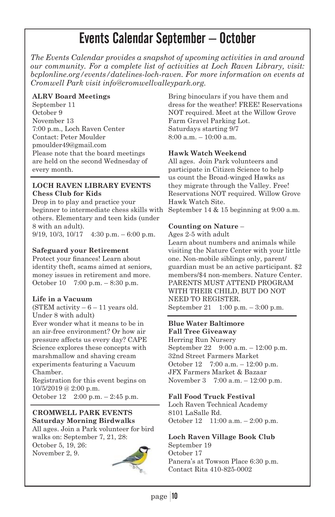# Events Calendar September – October

*The Events Calendar provides a snapshot of upcoming activities in and around our community. For a complete list of activities at Loch Raven Library, visit: bcplonline.org/events/datelines-loch-raven. For more information on events at Cromwell Park visit info@cromwellvalleypark.org.* 

#### **ALRV Board Meetings**

September 11 October 9 November 13 7:00 p.m., Loch Raven Center Contact: Peter Moulder pmoulder49@gmail.com Please note that the board meetings are held on the second Wednesday of every month.

#### **LOCH RAVEN LIBRARY EVENTS Chess Club for Kids**

Drop in to play and practice your beginner to intermediate chess skills with others. Elementary and teen kids (under 8 with an adult). 9/19, 10/3, 10/17 4:30 p.m. – 6:00 p.m.

#### **Safeguard your Retirement**

Protect your finances! Learn about identity theft, scams aimed at seniors, money issues in retirement and more. October 10 7:00 p.m. – 8:30 p.m.

### **Life in a Vacuum**

(STEM activity  $-6 - 11$  years old. Under 8 with adult)

Ever wonder what it means to be in an air-free environment? Or how air pressure affects us every day? CAPE Science explores these concepts with marshmallow and shaving cream experiments featuring a Vacuum Chamber.

Registration for this event begins on 10/5/2019 @ 2:00 p.m. October 12 2:00 p.m. – 2:45 p.m.

#### **CROMWELL PARK EVENTS Saturday Morning Birdwalks**

All ages. Join a Park volunteer for bird walks on: September 7, 21, 28: October 5, 19, 26:

November 2, 9.



Bring binoculars if you have them and dress for the weather! FREE! Reservations NOT required. Meet at the Willow Grove Farm Gravel Parking Lot. Saturdays starting 9/7 8:00 a.m. – 10:00 a.m.

#### **Hawk Watch Weekend**

All ages. Join Park volunteers and participate in Citizen Science to help us count the Broad-winged Hawks as they migrate through the Valley. Free! Reservations NOT required. Willow Grove Hawk Watch Site. September 14 & 15 beginning at 9:00 a.m.

#### **Counting on Nature** –

Ages 2-5 with adult

Learn about numbers and animals while visiting the Nature Center with your little one. Non-mobile siblings only, parent/ guardian must be an active participant. \$2 members/\$4 non-members. Nature Center. PARENTS MUST ATTEND PROGRAM WITH THEIR CHILD, BUT DO NOT NEED TO REGISTER. September 21 1:00 p.m. – 3:00 p.m.

## **Blue Water Baltimore**

**Fall Tree Giveaway**

Herring Run Nursery September 22 9:00 a.m. – 12:00 p.m. 32nd Street Farmers Market October 12 7:00 a.m. – 12:00 p.m. JFX Farmers Market & Bazaar November 3 7:00 a.m. – 12:00 p.m.

### **Fall Food Truck Festival**

Loch Raven Technical Academy 8101 LaSalle Rd. October 12 11:00 a.m. – 2:00 p.m.

## **Loch Raven Village Book Club** September 19

October 17 Panera's at Towson Place 6:30 p.m. Contact Rita 410-825-0002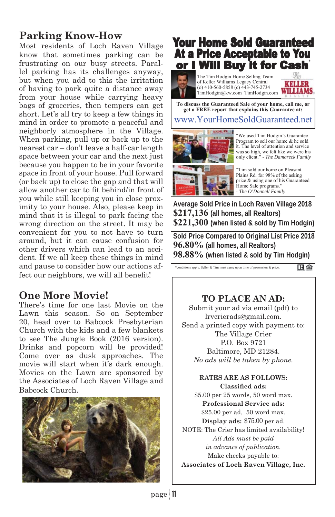# **Parking Know-How**

Most residents of Loch Raven Village know that sometimes parking can be frustrating on our busy streets. Parallel parking has its challenges anyway, but when you add to this the irritation of having to park quite a distance away from your house while carrying heavy bags of groceries, then tempers can get short. Let's all try to keep a few things in mind in order to promote a peaceful and neighborly atmosphere in the Village. When parking, pull up or back up to the nearest car – don't leave a half-car length space between your car and the next just because you happen to be in your favorite space in front of your house. Pull forward (or back up) to close the gap and that will allow another car to fit behind/in front of you while still keeping you in close proximity to your house. Also, please keep in mind that it is illegal to park facing the wrong direction on the street. It may be convenient for you to not have to turn around, but it can cause confusion for other drivers which can lead to an accident. If we all keep these things in mind and pause to consider how our actions affect our neighbors, we will all benefit!

## **One More Movie!**

There's time for one last Movie on the Lawn this season. So on September 20, head over to Babcock Presbyterian Church with the kids and a few blankets to see The Jungle Book (2016 version). Drinks and popcorn will be provided! Come over as dusk approaches. The movie will start when it's dark enough. Movies on the Lawn are sponsored by the Associates of Loch Raven Village and Babcock Church.



# **Your Home Sold Guaranteed** At a Price Acceptable to You or I Will Buy it for Cash

The Tim Hodgin Home Selling Team of Keller Williams Legacy Central (o) 410-560-5858 (c) 443-745-2734 TimHodgin@kw.com TimHodgin.com



**To discuss the Guaranteed Sale of your home, call me, or get a FREE report that explains this Guarantee at:** 

## www.YourHomeSoldGuaranteed.net



"We used Tim Hodgin's Guarantee Program to sell our home & he sold it. The level of attention and service was so high, we felt like we were his only client." - *The Damareck Family*

"Tim sold our home on Pleasant Plains Rd. for 98% of the asking price & using one of his Guaranteed Home Sale programs." - *The O'Donnell Family*

**Average Sold Price in Loch Raven Village 2018 \$217,136 (all homes, all Realtors) \$221,300 (when listed & sold by Tim Hodgin)** 

**Sold Price Compared to Original List Price 2018 96.80% (all homes, all Realtors) 98.88% (when listed & sold by Tim Hodgin)**

\*conditions apply. Seller & Tim must agree upon time of possession & price. 田倉

## **TO PLACE AN AD:**

Submit your ad via email (pdf) to lrvcrierads@gmail.com. Send a printed copy with payment to: The Village Crier P.O. Box 9721 Baltimore, MD 21284. *No ads will be taken by phone.*

#### **RATES ARE AS FOLLOWS: Classified ads:**

\$5.00 per 25 words, 50 word max. **Professional Service ads:** \$25.00 per ad, 50 word max. Display ads: \$75.00 per ad. NOTE: The Crier has limited availability! *All Ads must be paid in advance of publication.*  Make checks payable to: **Associates of Loch Raven Village, Inc.**